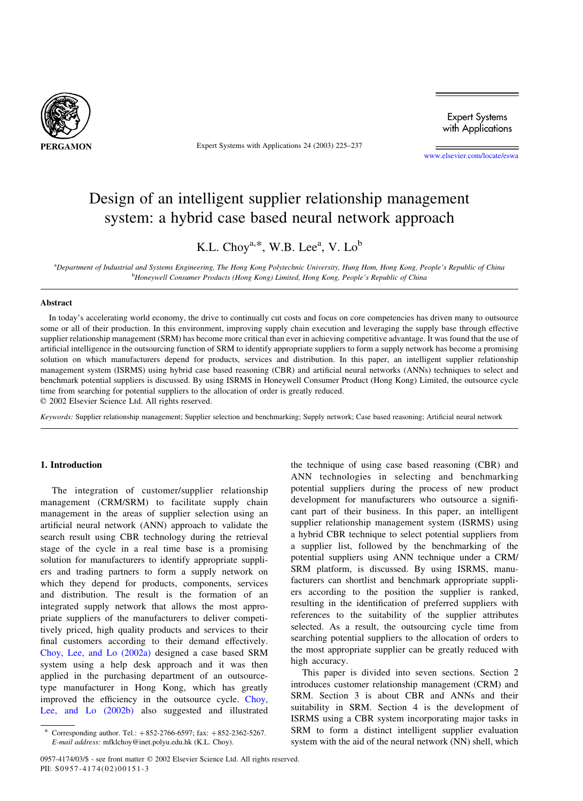

Expert Systems with Applications 24 (2003) 225–237

**Expert Systems** with Applications

[www.elsevier.com/locate/eswa](http://www.elsevier.com/locate/eswa)

# Design of an intelligent supplier relationship management system: a hybrid case based neural network approach

K.L. Choy<sup>a,\*</sup>, W.B. Lee<sup>a</sup>, V. Lo<sup>b</sup>

a<br>
a Department of Industrial and Systems Engineering, The Hong Kong Polytechnic University, Hung Hom, Hong Kong, People's Republic of China **b**Honeywell Consumer Products (Hong Kong) Limited, Hong Kong, People's Republic of China

#### Abstract

In today's accelerating world economy, the drive to continually cut costs and focus on core competencies has driven many to outsource some or all of their production. In this environment, improving supply chain execution and leveraging the supply base through effective supplier relationship management (SRM) has become more critical than ever in achieving competitive advantage. It was found that the use of artificial intelligence in the outsourcing function of SRM to identify appropriate suppliers to form a supply network has become a promising solution on which manufacturers depend for products, services and distribution. In this paper, an intelligent supplier relationship management system (ISRMS) using hybrid case based reasoning (CBR) and artificial neural networks (ANNs) techniques to select and benchmark potential suppliers is discussed. By using ISRMS in Honeywell Consumer Product (Hong Kong) Limited, the outsource cycle time from searching for potential suppliers to the allocation of order is greatly reduced.

 $© 2002 Elsevier Science Ltd. All rights reserved.$ 

Keywords: Supplier relationship management; Supplier selection and benchmarking; Supply network; Case based reasoning; Artificial neural network

#### 1. Introduction

The integration of customer/supplier relationship management (CRM/SRM) to facilitate supply chain management in the areas of supplier selection using an artificial neural network (ANN) approach to validate the search result using CBR technology during the retrieval stage of the cycle in a real time base is a promising solution for manufacturers to identify appropriate suppliers and trading partners to form a supply network on which they depend for products, components, services and distribution. The result is the formation of an integrated supply network that allows the most appropriate suppliers of the manufacturers to deliver competitively priced, high quality products and services to their final customers according to their demand effectively. [Choy, Lee, and Lo \(2002a\)](#page--1-0) designed a case based SRM system using a help desk approach and it was then applied in the purchasing department of an outsourcetype manufacturer in Hong Kong, which has greatly improved the efficiency in the outsource cycle. [Choy,](#page--1-0) [Lee, and Lo \(2002b\)](#page--1-0) also suggested and illustrated

the technique of using case based reasoning (CBR) and ANN technologies in selecting and benchmarking potential suppliers during the process of new product development for manufacturers who outsource a significant part of their business. In this paper, an intelligent supplier relationship management system (ISRMS) using a hybrid CBR technique to select potential suppliers from a supplier list, followed by the benchmarking of the potential suppliers using ANN technique under a CRM/ SRM platform, is discussed. By using ISRMS, manufacturers can shortlist and benchmark appropriate suppliers according to the position the supplier is ranked, resulting in the identification of preferred suppliers with references to the suitability of the supplier attributes selected. As a result, the outsourcing cycle time from searching potential suppliers to the allocation of orders to the most appropriate supplier can be greatly reduced with high accuracy.

This paper is divided into seven sections. Section 2 introduces customer relationship management (CRM) and SRM. Section 3 is about CBR and ANNs and their suitability in SRM. Section 4 is the development of ISRMS using a CBR system incorporating major tasks in SRM to form a distinct intelligent supplier evaluation system with the aid of the neural network (NN) shell, which

Corresponding author. Tel.:  $+852-2766-6597$ ; fax:  $+852-2362-5267$ . E-mail address: mfklchoy@inet.polyu.edu.hk (K.L. Choy).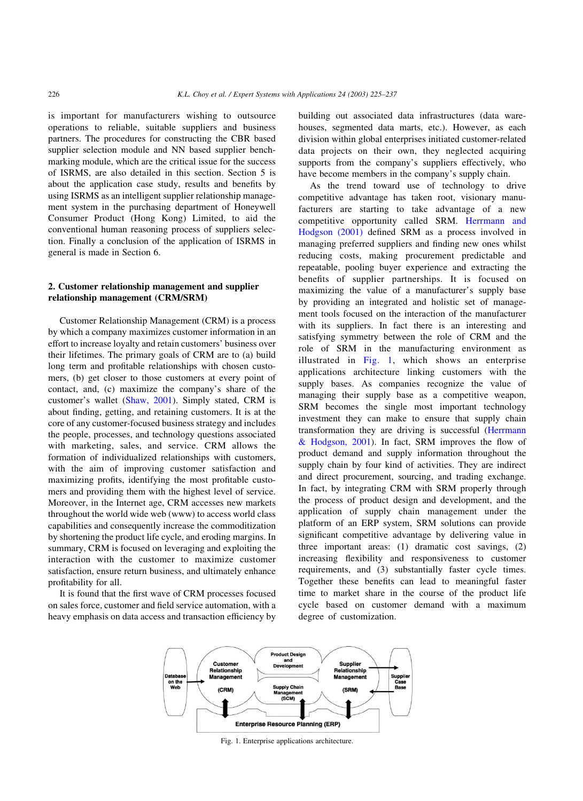is important for manufacturers wishing to outsource operations to reliable, suitable suppliers and business partners. The procedures for constructing the CBR based supplier selection module and NN based supplier benchmarking module, which are the critical issue for the success of ISRMS, are also detailed in this section. Section 5 is about the application case study, results and benefits by using ISRMS as an intelligent supplier relationship management system in the purchasing department of Honeywell Consumer Product (Hong Kong) Limited, to aid the conventional human reasoning process of suppliers selection. Finally a conclusion of the application of ISRMS in general is made in Section 6.

### 2. Customer relationship management and supplier relationship management (CRM/SRM)

Customer Relationship Management (CRM) is a process by which a company maximizes customer information in an effort to increase loyalty and retain customers' business over their lifetimes. The primary goals of CRM are to (a) build long term and profitable relationships with chosen customers, (b) get closer to those customers at every point of contact, and, (c) maximize the company's share of the customer's wallet ([Shaw, 2001](#page--1-0)). Simply stated, CRM is about finding, getting, and retaining customers. It is at the core of any customer-focused business strategy and includes the people, processes, and technology questions associated with marketing, sales, and service. CRM allows the formation of individualized relationships with customers, with the aim of improving customer satisfaction and maximizing profits, identifying the most profitable customers and providing them with the highest level of service. Moreover, in the Internet age, CRM accesses new markets throughout the world wide web (www) to access world class capabilities and consequently increase the commoditization by shortening the product life cycle, and eroding margins. In summary, CRM is focused on leveraging and exploiting the interaction with the customer to maximize customer satisfaction, ensure return business, and ultimately enhance profitability for all.

It is found that the first wave of CRM processes focused on sales force, customer and field service automation, with a heavy emphasis on data access and transaction efficiency by

building out associated data infrastructures (data warehouses, segmented data marts, etc.). However, as each division within global enterprises initiated customer-related data projects on their own, they neglected acquiring supports from the company's suppliers effectively, who have become members in the company's supply chain.

As the trend toward use of technology to drive competitive advantage has taken root, visionary manufacturers are starting to take advantage of a new competitive opportunity called SRM. [Herrmann and](#page--1-0) [Hodgson \(2001\)](#page--1-0) defined SRM as a process involved in managing preferred suppliers and finding new ones whilst reducing costs, making procurement predictable and repeatable, pooling buyer experience and extracting the benefits of supplier partnerships. It is focused on maximizing the value of a manufacturer's supply base by providing an integrated and holistic set of management tools focused on the interaction of the manufacturer with its suppliers. In fact there is an interesting and satisfying symmetry between the role of CRM and the role of SRM in the manufacturing environment as illustrated in Fig. 1, which shows an enterprise applications architecture linking customers with the supply bases. As companies recognize the value of managing their supply base as a competitive weapon, SRM becomes the single most important technology investment they can make to ensure that supply chain transformation they are driving is successful [\(Herrmann](#page--1-0) [& Hodgson, 2001\)](#page--1-0). In fact, SRM improves the flow of product demand and supply information throughout the supply chain by four kind of activities. They are indirect and direct procurement, sourcing, and trading exchange. In fact, by integrating CRM with SRM properly through the process of product design and development, and the application of supply chain management under the platform of an ERP system, SRM solutions can provide significant competitive advantage by delivering value in three important areas: (1) dramatic cost savings, (2) increasing flexibility and responsiveness to customer requirements, and (3) substantially faster cycle times. Together these benefits can lead to meaningful faster time to market share in the course of the product life cycle based on customer demand with a maximum degree of customization.



Fig. 1. Enterprise applications architecture.